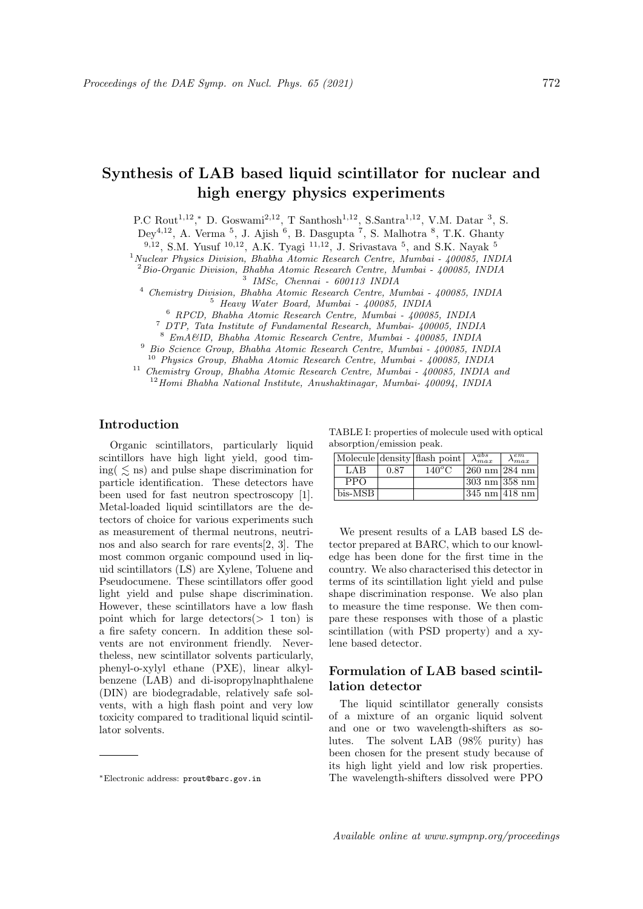# Synthesis of LAB based liquid scintillator for nuclear and high energy physics experiments

P.C Rout<sup>1,12</sup>,\* D. Goswami<sup>2,12</sup>, T Santhosh<sup>1,12</sup>, S.Santra<sup>1,12</sup>, V.M. Datar<sup>3</sup>, S.

 $\text{Dey}^{4,12}$ , A. Verma <sup>5</sup>, J. Ajish <sup>6</sup>, B. Dasgupta <sup>7</sup>, S. Malhotra <sup>8</sup>, T.K. Ghanty

 $^{9,12}$ , S.M. Yusuf  $^{10,12}$ , A.K. Tyagi  $^{11,12}$ , J. Srivastava  $^5$ , and S.K. Nayak  $^5$ 

<sup>1</sup> Nuclear Physics Division, Bhabha Atomic Research Centre, Mumbai - 400085, INDIA

<sup>2</sup>Bio-Organic Division, Bhabha Atomic Research Centre, Mumbai - 400085, INDIA 3 IMSc, Chennai - 600113 INDIA

<sup>4</sup> Chemistry Division, Bhabha Atomic Research Centre, Mumbai - 400085, INDIA <sup>5</sup> Heavy Water Board, Mumbai - 400085, INDIA

<sup>6</sup> RPCD, Bhabha Atomic Research Centre, Mumbai - 400085, INDIA

<sup>7</sup> DTP, Tata Institute of Fundamental Research, Mumbai- 400005, INDIA

<sup>8</sup> EmA&ID, Bhabha Atomic Research Centre, Mumbai - 400085, INDIA

<sup>9</sup> Bio Science Group, Bhabha Atomic Research Centre, Mumbai - 400085, INDIA

<sup>10</sup> Physics Group, Bhabha Atomic Research Centre, Mumbai - 400085, INDIA

<sup>11</sup> Chemistry Group, Bhabha Atomic Research Centre, Mumbai - 400085, INDIA and  $12$ Homi Bhabha National Institute, Anushaktinagar, Mumbai- 400094, INDIA

## Introduction

Organic scintillators, particularly liquid scintillors have high light yield, good timing(  $\leq$  ns) and pulse shape discrimination for particle identification. These detectors have been used for fast neutron spectroscopy [1]. Metal-loaded liquid scintillators are the detectors of choice for various experiments such as measurement of thermal neutrons, neutrinos and also search for rare events[2, 3]. The most common organic compound used in liquid scintillators (LS) are Xylene, Toluene and Pseudocumene. These scintillators offer good light yield and pulse shape discrimination. However, these scintillators have a low flash point which for large detectors $(> 1$  ton) is a fire safety concern. In addition these solvents are not environment friendly. Nevertheless, new scintillator solvents particularly, phenyl-o-xylyl ethane (PXE), linear alkylbenzene (LAB) and di-isopropylnaphthalene (DIN) are biodegradable, relatively safe solvents, with a high flash point and very low toxicity compared to traditional liquid scintillator solvents.

TABLE I: properties of molecule used with optical absorption/emission peak.

|            |      | Molecule density flash point | $\lambda_{max}^{abs}$            | $\lambda_{max}^{\widehat{em}}$ |
|------------|------|------------------------------|----------------------------------|--------------------------------|
| LAB        | 0.87 | $140^{\circ}$ C              | $ 260 \text{ nm} 284 \text{ nm}$ |                                |
| <b>PPO</b> |      |                              | $ 303 \text{ nm} 358 \text{ nm}$ |                                |
| bis-MSB    |      |                              | $ 345 \text{ nm} 418 \text{ nm}$ |                                |

We present results of a LAB based LS detector prepared at BARC, which to our knowledge has been done for the first time in the country. We also characterised this detector in terms of its scintillation light yield and pulse shape discrimination response. We also plan to measure the time response. We then compare these responses with those of a plastic scintillation (with PSD property) and a xylene based detector.

## Formulation of LAB based scintillation detector

The liquid scintillator generally consists of a mixture of an organic liquid solvent and one or two wavelength-shifters as solutes. The solvent LAB (98% purity) has been chosen for the present study because of its high light yield and low risk properties. The wavelength-shifters dissolved were PPO

<sup>∗</sup>Electronic address: prout@barc.gov.in